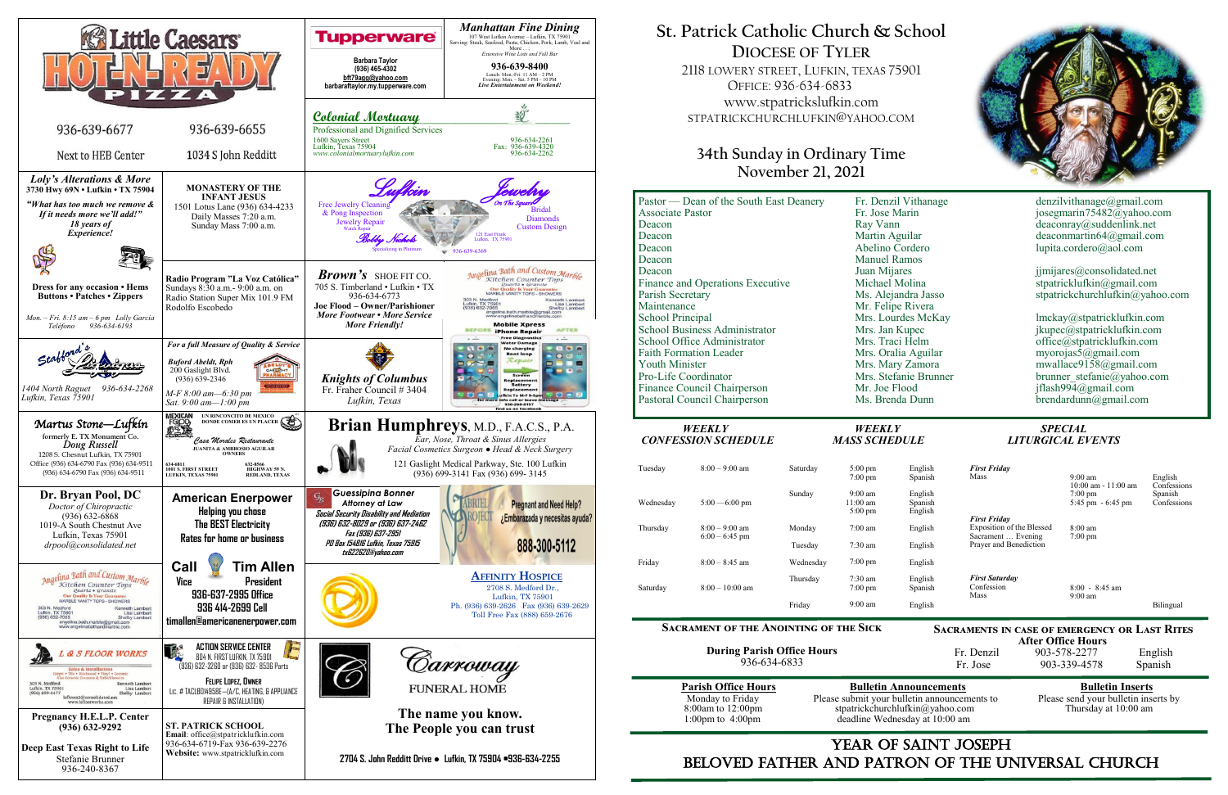

## YEAR OF SAINT JOSEPH beloved father AND Patron of the Universal Church

**After Office Hours**<br>Fr. Denzil 903-578-2277 903-578-2277 English Fr. Jose 903-339-4578 Spanish

Please submit your bulletin announcements to deadline Wednesday at 10:00 am

## **Parish Office Hours Bulletin Announcements**<br>Please submit your bulletin announcements to Please send your bulletin inserts by stpatrickchurchlufkin@yahoo.com Thursday at 10:00 am

# **St. Patrick Catholic Church & School DIOCESE OF TYLER**

2118 LOWERY STREET, LUFKIN, TEXAS 75901 OFFICE: 936-634-6833 www.stpatrickslufkin.com STPATRICKCHURCHLUFKIN@YAHOO.COM

## **34th Sunday in Ordinary Time November 21, 2021**

| Pastor — Dean of the South East Deanery | Fr. Denzil Vithanage  | denzilvithanage@gmail.com       |
|-----------------------------------------|-----------------------|---------------------------------|
| <b>Associate Pastor</b>                 | Fr. Jose Marin        | josegmarin75482@yahoo.com       |
| Deacon                                  | Ray Vann              | deaconray@suddenlink.net        |
| Deacon                                  | Martin Aguilar        | deaconmartin64@gmail.com        |
| Deacon                                  | Abelino Cordero       | lupita.cordero@aol.com          |
| Deacon                                  | <b>Manuel Ramos</b>   |                                 |
| Deacon                                  | Juan Mijares          | jjmijares@consolidated.net      |
| Finance and Operations Executive        | Michael Molina        | stpatricklufkin@gmail.com       |
| Parish Secretary                        | Ms. Alejandra Jasso   | stpatrickchurchlufkin@yahoo.com |
| Maintenance                             | Mr. Felipe Rivera     |                                 |
| <b>School Principal</b>                 | Mrs. Lourdes McKay    | lmckay@stpatricklufkin.com      |
| <b>School Business Administrator</b>    | Mrs. Jan Kupec        | jkupec@stpatricklufkin.com      |
| School Office Administrator             | Mrs. Traci Helm       | office@stpatricklufkin.com      |
| <b>Faith Formation Leader</b>           | Mrs. Oralia Aguilar   | myorojas5@gmail.com             |
| <b>Youth Minister</b>                   | Mrs. Mary Zamora      | mwallace9158@gmail.com          |
| Pro-Life Coordinator                    | Mrs. Stefanie Brunner | brunner stefanie@yahoo.com      |
| Finance Council Chairperson             | Mr. Joe Flood         | jflash994@gmail.com             |
| Pastoral Council Chairperson            | Ms. Brenda Dunn       | $b$ rendardunn@gmail.com        |
| <b>WEEKLY</b>                           | <b>WEEKLY</b>         | <b>SPECIAL</b>                  |
| <b>CONFESSION SCHEDULE</b>              | <b>MASS SCHEDULE</b>  | <b>LITURGICAL EVENTS</b>        |

### **Sacrament of the Anointing of the Sick**

**During Parish Office Hours**  936-634-6833



| denzilvithanage@gmail.com<br>josegmarin75482@yahoo.com<br>deaconray @suddenlink.net<br>deaconmartin64@gmail.com<br>lupita.cordero@aol.com                                                    |
|----------------------------------------------------------------------------------------------------------------------------------------------------------------------------------------------|
| jimijares@consolidated.net<br>stpatricklufkin@gmail.com<br>stpatrickchurchlufkin@yahoo.com                                                                                                   |
| lmckay@stpatricklufkin.com<br>jkupec@stpatricklufkin.com<br>office@stpatricklufkin.com<br>myorojas5@gmail.com<br>mwallace9158@gmail.com<br>brunner stefanie@yahoo.com<br>iflash994@gmail.com |

# **CONFERENT SCHEDULE SCHEDULE LITURGICAL EVENTS**

**Sacraments in case of emergency or Last Rites** 

| Tuesday   | $8:00 - 9:00$ am | Saturday  | $5:00 \text{ pm}$<br>$7:00 \text{ pm}$                       |
|-----------|------------------|-----------|--------------------------------------------------------------|
| Wednesday | $5:00 - 6:00$ pm | Sunday    | $9:00 \text{ am}$<br>$11:00 \text{ am}$<br>$5:00 \text{ pm}$ |
| Thursday  | $8:00 - 9:00$ am | Monday    | $7:00 \text{ am}$                                            |
|           | $6:00 - 6:45$ pm | Tuesday   | $7:30 \text{ am}$                                            |
| Friday    | $8:00 - 8:45$ am | Wednesday | $7:00 \text{ pm}$                                            |
| Saturday  | $8:00-10:00$ am  | Thursday  | $7:30 \text{ am}$<br>$7:00$ pm                               |
|           |                  | Friday    | $9:00 \text{ am}$                                            |

| English | <b>First Friday</b>                             |                                              |                        |
|---------|-------------------------------------------------|----------------------------------------------|------------------------|
| Spanish | Mass                                            | $9:00 \text{ am}$<br>$10:00$ am - $11:00$ am | English<br>Confessions |
| English |                                                 | $7:00 \text{ pm}$                            | Spanish                |
| Spanish |                                                 | $5:45 \text{ pm} - 6:45 \text{ pm}$          | Confessions            |
| English | <b>First Friday</b>                             |                                              |                        |
| English | Exposition of the Blessed<br>Sacrament  Evening | $8:00 \text{ am}$                            |                        |
| English | Prayer and Benediction                          | $7:00 \text{ pm}$                            |                        |
| English |                                                 |                                              |                        |
| English | <b>First Saturday</b>                           |                                              |                        |
| Spanish | Confession                                      | $8:00 - 8:45$ am                             |                        |
|         | Mass                                            | $9:00 \text{ am}$                            |                        |
| English |                                                 |                                              | Bilingual              |